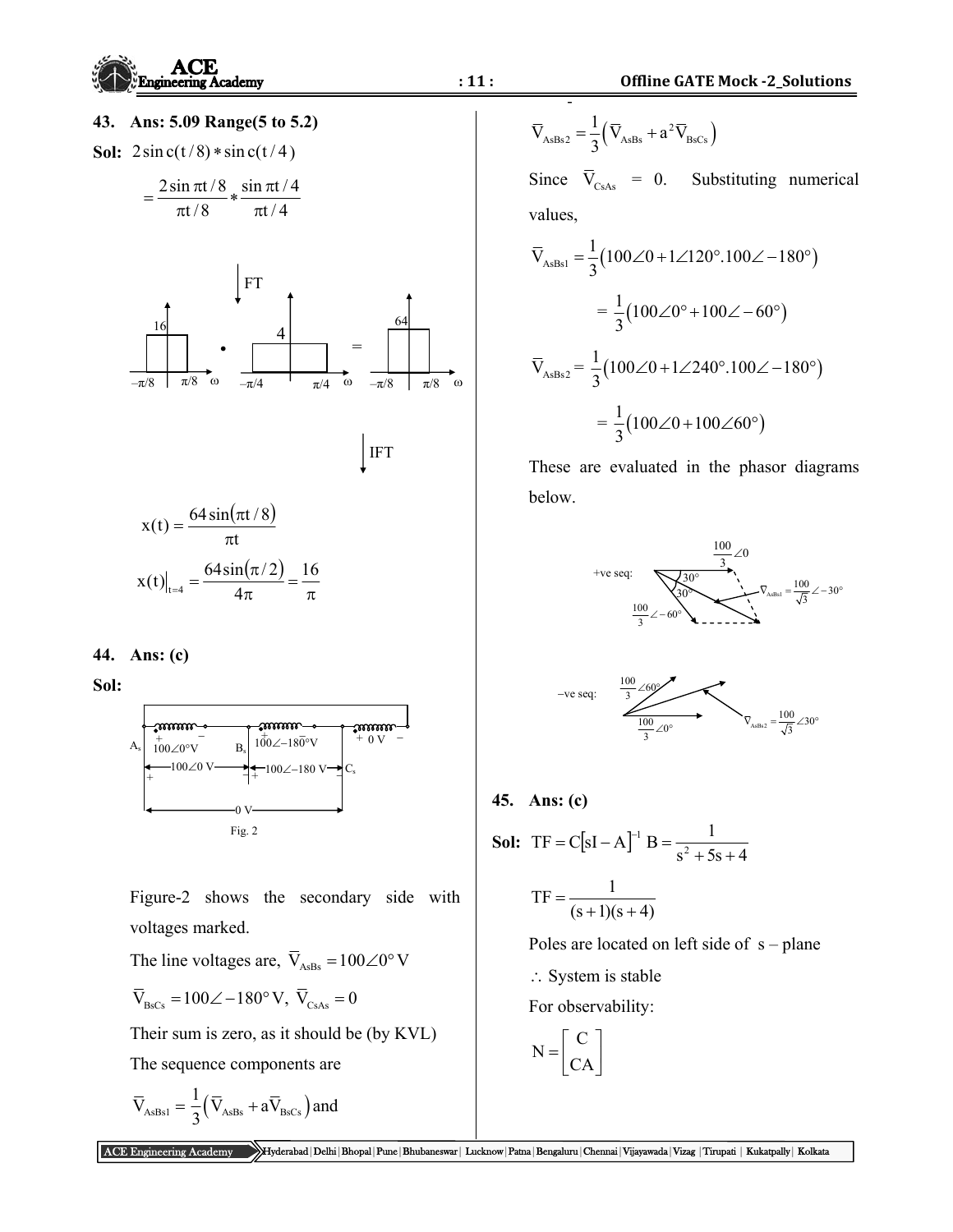

## **43. Ans: 5.09 Range(5 to 5.2)**

**Sol:**  $2\sin c(t/8) * \sin c(t/4)$ 

$$
=\frac{2\sin\pi t/8}{\pi t/8}*\frac{\sin\pi t/4}{\pi t/4}
$$



 $x(t) = \frac{64 \sin(\pi t/8)}{2}$ t  $x(t) = \frac{64 \sin(\pi t/8)}{t}$  $\pi$  $=\frac{64\sin(\pi)}{2}$  $t_{\text{H}} = \frac{64 \sin(\pi/2)}{4\pi} = \frac{16}{\pi}$  $x(t)|_{t=4} = \frac{64 \sin(\pi/2)}{4\pi}$ 

## **44. Ans: (c)**

**Sol:**



 Figure-2 shows the secondary side with voltages marked.

The line voltages are,  $\overline{V}_{\text{AsBs}} = 100\angle 0^{\circ} \text{V}$ 

$$
\overline{\text{V}}_{\text{BsCs}} = 100\angle -180^{\circ} \text{ V}, \ \overline{\text{V}}_{\text{CsAs}} = 0
$$

Their sum is zero, as it should be (by KVL)

The sequence components are

$$
\overline{V}_{\mathrm{AsBs1}}=\frac{1}{3}\left(\overline{V}_{\mathrm{AsBs}}+a\overline{V}_{\mathrm{BsCs}}\right) \text{and} \quad
$$

‐  $\overline{V}_{\text{AsBs2}} = \frac{1}{2} (\overline{V}_{\text{AsBs}} + a^2 \overline{V}_{\text{BsCs}})$ 3  $=\frac{1}{2}(\bar{V}_{\text{AsBs}}+$ 

Since  $\overline{V}_{CsAs} = 0$ . Substituting numerical values,

$$
\overline{V}_{\text{AsBs1}} = \frac{1}{3} (100\angle 0 + 1\angle 120^{\circ}.100\angle -180^{\circ})
$$

$$
= \frac{1}{3} (100\angle 0^{\circ} + 100\angle -60^{\circ})
$$

$$
\overline{V}_{\text{AsBs2}} = \frac{1}{3} (100\angle 0 + 1\angle 240^{\circ}.100\angle -180^{\circ})
$$

$$
= \frac{1}{3} (100\angle 0 + 100\angle 60^{\circ})
$$

 These are evaluated in the phasor diagrams below.





## **45. Ans: (c)**

**Sol:** TF = C[sI – A]<sup>-1</sup> B = 
$$
\frac{1}{s^2 + 5s + 4}
$$

$$
TF = \frac{1}{(s+1)(s+4)}
$$

Poles are located on left side of  $s$  – plane

 $\therefore$  System is stable

For observability:

$$
N = \begin{bmatrix} C \\ CA \end{bmatrix}
$$

ACE Engineering Academy Hyderabad|Delhi|Bhopal|Pune|Bhubaneswar| Lucknow|Patna|Bengaluru|Chennai|Vijayawada|Vizag |Tirupati | Kukatpally| Kolkata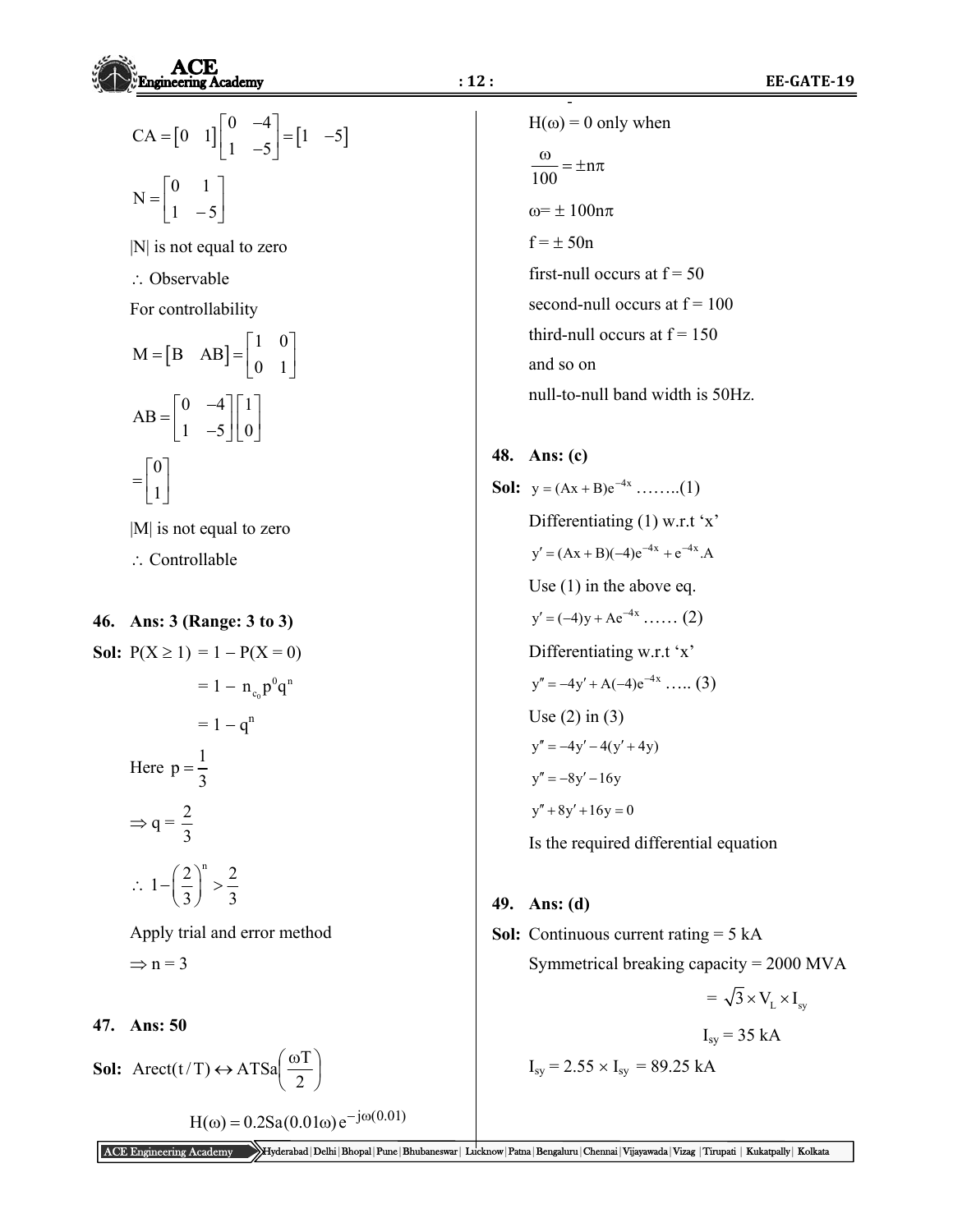

$$
CA = \begin{bmatrix} 0 & 1 \end{bmatrix} \begin{bmatrix} 0 & -4 \\ 1 & -5 \end{bmatrix} = \begin{bmatrix} 1 & -5 \end{bmatrix}
$$

$$
N = \begin{bmatrix} 0 & 1 \\ 1 & -5 \end{bmatrix}
$$

|N| is not equal to zero

: Observable

For controllability

$$
M = [B \ AB] = \begin{bmatrix} 1 & 0 \\ 0 & 1 \end{bmatrix}
$$

$$
AB = \begin{bmatrix} 0 & -4 \\ 1 & -5 \end{bmatrix} \begin{bmatrix} 1 \\ 0 \end{bmatrix}
$$

$$
= \begin{bmatrix} 0 \\ 1 \end{bmatrix}
$$

|M| is not equal to zero

- : Controllable
- **46. Ans: 3 (Range: 3 to 3)**

**Sol:**  $P(X \ge 1) = 1 - P(X = 0)$ 

 $= 1 - n_{c_0} p^{0} q^{n}$ 

 $= 1 - a^n$ Here  $p = \frac{1}{3}$ 

> $\Rightarrow$  q =  $\frac{2}{3}$ 3

 $\ddot{\cdot}$  $1 - \left(\frac{2}{2}\right)^n > \frac{2}{3}$  $-\left(\frac{2}{3}\right)^{n} > \frac{2}{3}$ 

 Apply trial and error method  $\Rightarrow$  n = 3

## **47. Ans: 50**

**Sol:** Arect(t/T)  $\leftrightarrow$  ATSa $\frac{\omega}{2}$ J  $\left(\frac{\omega T}{\sigma}\right)$  $\setminus$  $\leftrightarrow$  ATSa $\left(\frac{\omega}{\omega}\right)$ 2 Arect(t/T)  $\leftrightarrow$  ATSa $\left( \frac{\omega T}{2} \right)$ 

 $H(\omega) = 0.2$ Sa $(0.01\omega)e^{-j\omega(0.01)}$ 

 $H(\omega) = 0$  only when  $\frac{\omega}{\omega} = \pm n\pi$ 100  $\omega = \pm 100n\pi$  $f = \pm 50n$ first-null occurs at  $f = 50$ second-null occurs at  $f = 100$ third-null occurs at  $f = 150$  and so on null-to-null band width is 50Hz.

‐

**48. Ans: (c)** 

**Sol:**  $y = (Ax + B)e^{-4x}$  ........(1) Differentiating (1) w.r.t 'x'  $y' = (Ax + B)(-4)e^{-4x} + e^{-4x}.A$  Use (1) in the above eq.  $y' = (-4)y + Ae^{-4x}$  ...... (2) Differentiating w.r.t 'x'  $y'' = -4y' + A(-4)e^{-4x}$  ..... (3) Use  $(2)$  in  $(3)$  $\sqrt{99y''} = -4y' - 4(y' + 4y)$  $y'' = -8y' - 16y$  $y'' + 8y' + 16y = 0$ Is the required differential equation

**49. Ans: (d)** 

**Sol:** Continuous current rating = 5 kA Symmetrical breaking capacity = 2000 MVA

 $=\sqrt{3}\times V_{\rm r}\times I_{\rm m}$ 

 $I_{sv}$  = 35 kA

$$
I_{sy} = 2.55 \times I_{sy} = 89.25 \text{ kA}
$$

ACE Engineering Academy Hyderabad|Delhi|Bhopal|Pune|Bhubaneswar| Lucknow|Patna|Bengaluru|Chennai|Vijayawada|Vizag |Tirupati | Kukatpally| Kolkata

Since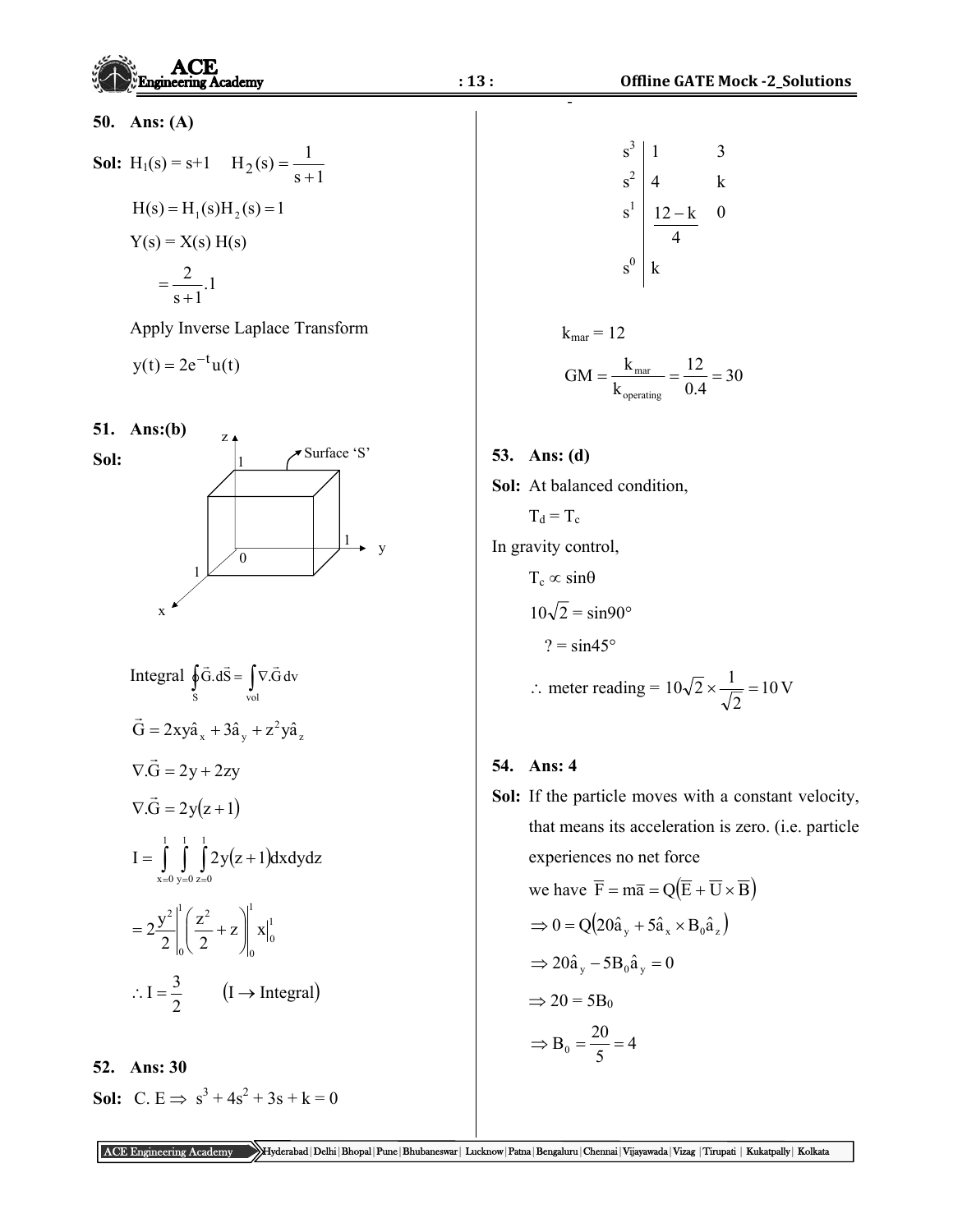|      | <b>Engineering Academy</b>                                                                                                                                                                                                                                                                                           | : 13:<br><b>Offline GATE Mock -2_Solutions</b>                                                                                                                                                                                                                                                                                                                                                                                                                                         |
|------|----------------------------------------------------------------------------------------------------------------------------------------------------------------------------------------------------------------------------------------------------------------------------------------------------------------------|----------------------------------------------------------------------------------------------------------------------------------------------------------------------------------------------------------------------------------------------------------------------------------------------------------------------------------------------------------------------------------------------------------------------------------------------------------------------------------------|
| 50.  | Ans: $(A)$<br><b>Sol:</b> H <sub>1</sub> (s) = s+1 H <sub>2</sub> (s) = $\frac{1}{s+1}$<br>$H(s) = H_1(s)H_2(s) = 1$<br>$Y(s) = X(s) H(s)$                                                                                                                                                                           | $s^3$<br>3<br>$s^{2}$ 4<br>$s^{1}$ $\frac{12-k}{4}$<br>$\mathbf k$<br>$\boldsymbol{0}$                                                                                                                                                                                                                                                                                                                                                                                                 |
|      | $=\frac{2}{s+1}.1$<br>Apply Inverse Laplace Transform<br>$y(t) = 2e^{-t}u(t)$                                                                                                                                                                                                                                        | $\mathbf{s}^0$<br>$\mathbf{k}$<br>$k_{\text{mar}} = 12$<br>$GM = \frac{k_{\text{mar}}}{k_{\text{operating}}} = \frac{12}{0.4} = 30$                                                                                                                                                                                                                                                                                                                                                    |
| Sol: | <b>51.</b> Ans:(b)<br>$Z$ $\triangle$<br>Surface 'S'<br>y<br>$\Omega$<br>$\mathbf X$<br>Integral $\oint_S \vec{G} \cdot d\vec{S} = \int_{vol} \nabla \cdot \vec{G} dv$<br>$\vec{G} = 2xy\hat{a}_x + 3\hat{a}_y + z^2y\hat{a}_z$<br>Since                                                                             | 53. Ans: (d)<br>Sol: At balanced condition,<br>$T_d = T_c$<br>In gravity control,<br>$T_c \propto \sin\theta$<br>$10\sqrt{2} = \sin 90^\circ$<br>$? = \sin 45^\circ$<br>$\therefore$ meter reading = $10\sqrt{2} \times \frac{1}{\sqrt{2}} = 10 \text{ V}$                                                                                                                                                                                                                             |
| 52.  | $\nabla \cdot \vec{G} = 2y + 2zy$<br>$\nabla \cdot \vec{G} = 2y(z+1)$<br>$I = \int_0^1 \int_0^1 2y(z+1)dx dy dz$<br>$x=0$ y=0 z=0<br>$=2\frac{y^{2}}{2}\bigg _{0}^{1}\bigg(\frac{z^{2}}{2}+z\bigg)\bigg _{0}^{1}x\bigg _{0}^{1}$<br>$\therefore I = \frac{3}{2}$ $(I \rightarrow \text{Integral})$<br><b>Ans: 30</b> | 54.<br>Ans: 4<br>Sol: If the particle moves with a constant velocity,<br>that means its acceleration is zero. (i.e. particle<br>experiences no net force<br>we have $\overline{F} = m\overline{a} = Q(\overline{E} + \overline{U} \times \overline{B})$<br>$\Rightarrow 0 = Q(20\hat{a}_{v} + 5\hat{a}_{x} \times B_0\hat{a}_{z})$<br>$\Rightarrow$ 20 $\hat{a}_{v}$ - 5B <sub>0</sub> $\hat{a}_{v}$ = 0<br>$\Rightarrow$ 20 = 5B <sub>0</sub><br>$\Rightarrow B_0 = \frac{20}{5} = 4$ |
|      | <b>Sol:</b> C. E $\Rightarrow$ s <sup>3</sup> + 4s <sup>2</sup> + 3s + k = 0                                                                                                                                                                                                                                         |                                                                                                                                                                                                                                                                                                                                                                                                                                                                                        |

ACE Engineering Academy Hyderabad|Delhi|Bhopal|Pune|Bhubaneswar| Lucknow|Patna|Bengaluru|Chennai|Vijayawada|Vizag |Tirupati | Kukatpally| Kolkata